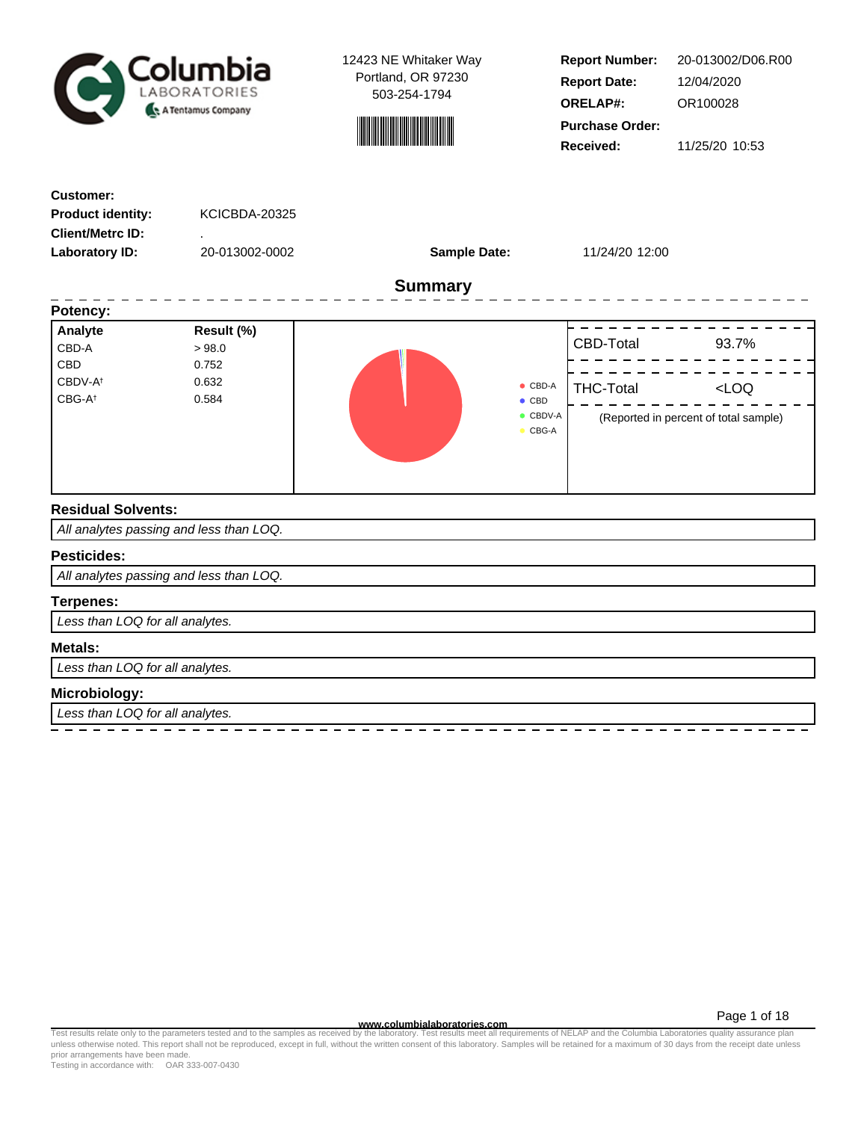



**Report Number: Report Date: ORELAP#:** 12/04/2020 OR100028 **Received:** 11/25/20 10:53 **Purchase Order:** 20-013002/D06.R00

| <b>Customer:</b>                          |                                         |                     |                                  |                  |                                       |
|-------------------------------------------|-----------------------------------------|---------------------|----------------------------------|------------------|---------------------------------------|
| <b>Product identity:</b>                  | KCICBDA-20325                           |                     |                                  |                  |                                       |
| <b>Client/Metrc ID:</b>                   |                                         |                     |                                  |                  |                                       |
| <b>Laboratory ID:</b>                     | 20-013002-0002                          | <b>Sample Date:</b> |                                  | 11/24/20 12:00   |                                       |
|                                           |                                         | <b>Summary</b>      |                                  |                  |                                       |
| Potency:                                  |                                         |                     |                                  |                  |                                       |
| Analyte                                   | Result (%)                              |                     |                                  |                  |                                       |
| CBD-A                                     | >98.0                                   |                     |                                  | CBD-Total        | 93.7%                                 |
| <b>CBD</b>                                | 0.752                                   |                     |                                  |                  |                                       |
| CBDV-A <sup>t</sup><br>CBG-A <sup>t</sup> | 0.632<br>0.584                          |                     | $\bullet$ CBD-A<br>$\bullet$ CBD | <b>THC-Total</b> | $<$ LOQ                               |
|                                           |                                         |                     | CBDV-A<br>$\bullet$ CBG-A        |                  | (Reported in percent of total sample) |
| <b>Residual Solvents:</b>                 |                                         |                     |                                  |                  |                                       |
|                                           | All analytes passing and less than LOQ. |                     |                                  |                  |                                       |
| <b>Pesticides:</b>                        |                                         |                     |                                  |                  |                                       |
|                                           | All analytes passing and less than LOQ. |                     |                                  |                  |                                       |
| <b>Terpenes:</b>                          |                                         |                     |                                  |                  |                                       |
| Less than LOQ for all analytes.           |                                         |                     |                                  |                  |                                       |
| Metals:                                   |                                         |                     |                                  |                  |                                       |
| Less than LOQ for all analytes.           |                                         |                     |                                  |                  |                                       |
| Microbiology:                             |                                         |                     |                                  |                  |                                       |
| Less than LOQ for all analytes.           |                                         |                     |                                  |                  |                                       |
|                                           |                                         |                     |                                  |                  |                                       |

Page 1 of 18

www.columbialaboratories.com<br>Test results relate only to the parameters tested and to the samples as received by the laboratories columbiala<br>unless otherwise noted. This report shall not be reproduced, except in full, with prior arrangements have been made. Testing in accordance with: OAR 333-007-0430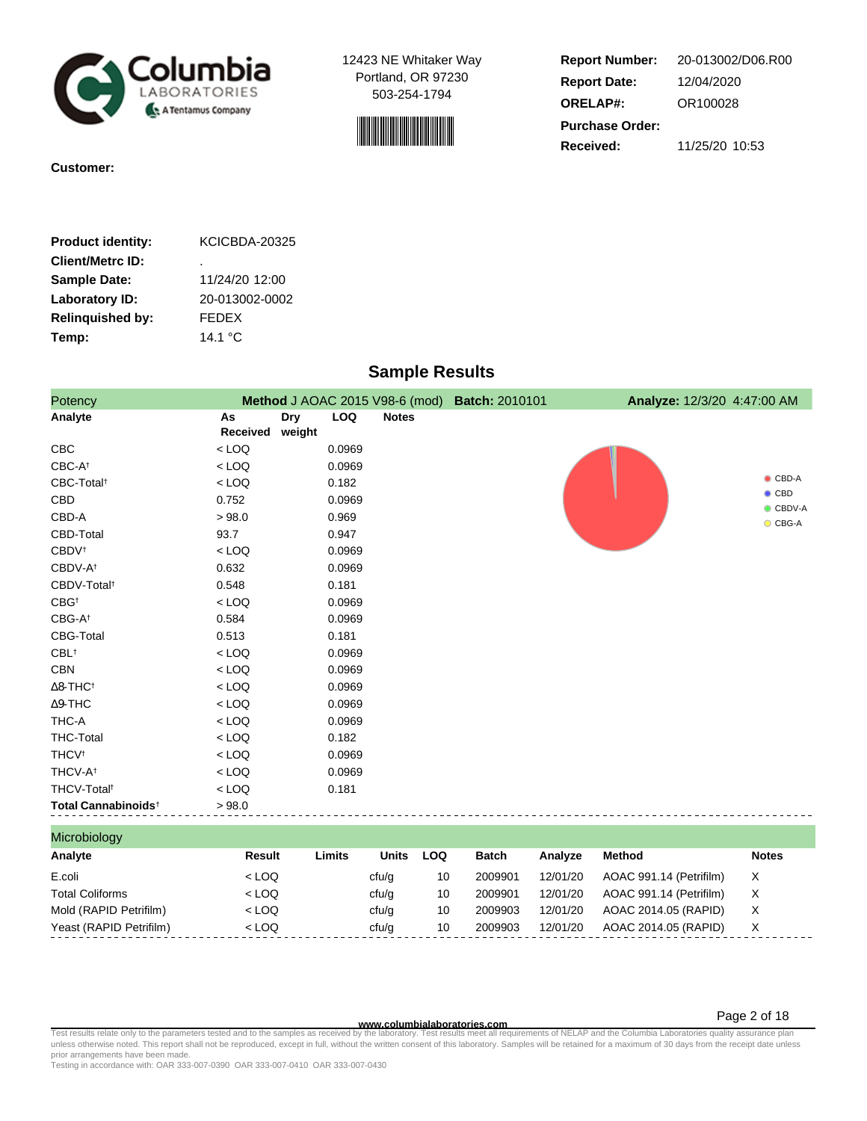



**Report Number: Report Date: ORELAP#:** 12/04/2020 OR100028 **Received:** 11/25/20 10:53 **Purchase Order:** 20-013002/D06.R00

**Customer:** 

| <b>Product identity:</b> | KCICBDA-20325    |
|--------------------------|------------------|
| <b>Client/Metrc ID:</b>  | ٠                |
| <b>Sample Date:</b>      | 11/24/20 12:00   |
| Laboratory ID:           | 20-013002-0002   |
| <b>Relinguished by:</b>  | <b>FFDFX</b>     |
| Temp:                    | 14.1 $\degree$ C |
|                          |                  |

## **Sample Results**

| Potency                         |          |            |            |                               | Method J AOAC 2015 V98-6 (mod) Batch: 2010101 | Analyze: 12/3/20 4:47:00 AM |                                   |
|---------------------------------|----------|------------|------------|-------------------------------|-----------------------------------------------|-----------------------------|-----------------------------------|
| Analyte                         | As       | <b>Dry</b> | <b>LOQ</b> | <b>Notes</b>                  |                                               |                             |                                   |
|                                 | Received | weight     |            |                               |                                               |                             |                                   |
| <b>CBC</b>                      | $<$ LOQ  |            | 0.0969     |                               |                                               |                             |                                   |
| CBC-At                          | $<$ LOQ  |            | 0.0969     |                               |                                               |                             |                                   |
| CBC-Total <sup>t</sup>          | $<$ LOQ  |            | 0.182      |                               |                                               |                             | $\bullet$ CBD-A                   |
| <b>CBD</b>                      | 0.752    |            | 0.0969     |                               |                                               |                             | $\bullet$ CBD<br>$\bullet$ CBDV-A |
| CBD-A                           | > 98.0   |            | 0.969      |                               |                                               |                             | $\bullet$ CBG-A                   |
| CBD-Total                       | 93.7     |            | 0.947      |                               |                                               |                             |                                   |
| CBDV <sup>+</sup>               | $<$ LOQ  |            | 0.0969     |                               |                                               |                             |                                   |
| CBDV-A <sup>t</sup>             | 0.632    |            | 0.0969     |                               |                                               |                             |                                   |
| CBDV-Total <sup>t</sup>         | 0.548    |            | 0.181      |                               |                                               |                             |                                   |
| CBG <sup>+</sup>                | $<$ LOQ  |            | 0.0969     |                               |                                               |                             |                                   |
| CBG-A <sup>t</sup>              | 0.584    |            | 0.0969     |                               |                                               |                             |                                   |
| CBG-Total                       | 0.513    |            | 0.181      |                               |                                               |                             |                                   |
| $CBL$ <sup>†</sup>              | $<$ LOQ  |            | 0.0969     |                               |                                               |                             |                                   |
| <b>CBN</b>                      | $<$ LOQ  |            | 0.0969     |                               |                                               |                             |                                   |
| $\Delta$ 8-THC <sup>+</sup>     | $<$ LOQ  |            | 0.0969     |                               |                                               |                             |                                   |
| $\Delta$ 9-THC                  | $<$ LOQ  |            | 0.0969     |                               |                                               |                             |                                   |
| THC-A                           | $<$ LOQ  |            | 0.0969     |                               |                                               |                             |                                   |
| <b>THC-Total</b>                | $<$ LOQ  |            | 0.182      |                               |                                               |                             |                                   |
| <b>THCV<sup>t</sup></b>         | $<$ LOQ  |            | 0.0969     |                               |                                               |                             |                                   |
| THCV-A <sup>t</sup>             | $<$ LOQ  |            | 0.0969     |                               |                                               |                             |                                   |
| THCV-Total <sup>t</sup>         | $<$ LOQ  |            | 0.181      |                               |                                               |                             |                                   |
| Total Cannabinoids <sup>+</sup> | > 98.0   |            |            |                               |                                               |                             |                                   |
| Microbiology                    |          |            |            |                               |                                               |                             |                                   |
|                                 |          |            | .          | .<br>$\overline{\phantom{a}}$ | - - -                                         | .                           | $\mathbf{A}$                      |

| ______________          |         |        |       |     |         |          |                         |              |  |
|-------------------------|---------|--------|-------|-----|---------|----------|-------------------------|--------------|--|
| Analyte                 | Result  | Limits | Units | LOQ | Batch   | Analyze  | Method                  | <b>Notes</b> |  |
| E.coli                  | $<$ LOQ |        | cfu/g | 10  | 2009901 | 12/01/20 | AOAC 991.14 (Petrifilm) | X            |  |
| <b>Total Coliforms</b>  | $<$ LOQ |        | cfu/g | 10  | 2009901 | 12/01/20 | AOAC 991.14 (Petrifilm) | X            |  |
| Mold (RAPID Petrifilm)  | $<$ LOQ |        | cfu/g | 10  | 2009903 | 12/01/20 | AOAC 2014.05 (RAPID)    | х            |  |
| Yeast (RAPID Petrifilm) | $<$ LOO |        | cfu/a | 10  | 2009903 | 12/01/20 | AOAC 2014.05 (RAPID)    | X.           |  |
|                         |         |        |       |     |         |          |                         |              |  |

**www.columbialaboratories.com**

Page 2 of 18

Test results relate only to the parameters tested and to the samples as received by the laboratory. Test results meet all requirements of NELAP and the Columbia Laboratories quality assurance plan<br>unless otherwise noted. T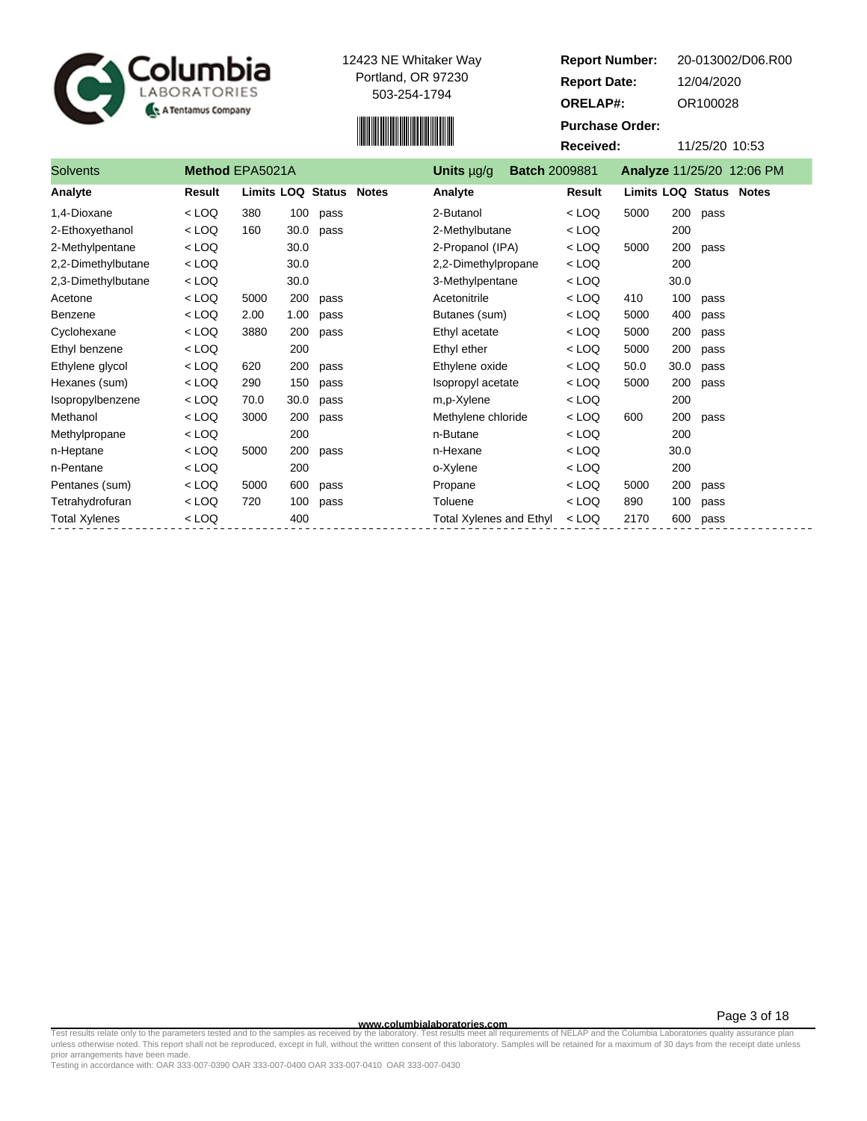



Solvents **Method EPA5021A Units**  $\mu$ g/g **Batch** 2009

| <b>Report Number:</b>  |      |     |            | 20-013002/D06.R00                |
|------------------------|------|-----|------------|----------------------------------|
| <b>Report Date:</b>    |      |     | 12/04/2020 |                                  |
| <b>ORELAP#:</b>        |      |     | OR100028   |                                  |
| <b>Purchase Order:</b> |      |     |            |                                  |
| Received:              |      |     |            | 11/25/20 10:53                   |
| )09881                 |      |     |            | <b>Analyze 11/25/20 12:06 PM</b> |
| Result                 |      |     |            | Limits LOQ Status Notes          |
| $<$ LOO                | 5000 | 200 | pass       |                                  |
| $\sim$ 1 $\Omega$      |      | 200 |            |                                  |
| <100                   | 5000 | 200 | pass       |                                  |

| Analyte              | Result  | Limits LOQ Status Notes |      |      | Analyte                        | Result  | Limits LOQ Status |      |      | <b>Notes</b> |
|----------------------|---------|-------------------------|------|------|--------------------------------|---------|-------------------|------|------|--------------|
| 1,4-Dioxane          | $<$ LOQ | 380                     | 100  | pass | 2-Butanol                      | $<$ LOQ | 5000              | 200  | pass |              |
| 2-Ethoxyethanol      | $<$ LOQ | 160                     | 30.0 | pass | 2-Methylbutane                 | $<$ LOQ |                   | 200  |      |              |
| 2-Methylpentane      | $<$ LOQ |                         | 30.0 |      | 2-Propanol (IPA)               | $<$ LOQ | 5000              | 200  | pass |              |
| 2,2-Dimethylbutane   | $<$ LOQ |                         | 30.0 |      | 2,2-Dimethylpropane            | $<$ LOQ |                   | 200  |      |              |
| 2,3-Dimethylbutane   | $<$ LOQ |                         | 30.0 |      | 3-Methylpentane                | $<$ LOQ |                   | 30.0 |      |              |
| Acetone              | $<$ LOQ | 5000                    | 200  | pass | Acetonitrile                   | $<$ LOQ | 410               | 100  | pass |              |
| Benzene              | $<$ LOQ | 2.00                    | 1.00 | pass | Butanes (sum)                  | < LOQ   | 5000              | 400  | pass |              |
| Cyclohexane          | $<$ LOQ | 3880                    | 200  | pass | Ethyl acetate                  | $<$ LOQ | 5000              | 200  | pass |              |
| Ethyl benzene        | $<$ LOQ |                         | 200  |      | Ethyl ether                    | $<$ LOQ | 5000              | 200  | pass |              |
| Ethylene glycol      | $<$ LOQ | 620                     | 200  | pass | Ethylene oxide                 | $<$ LOQ | 50.0              | 30.0 | pass |              |
| Hexanes (sum)        | $<$ LOQ | 290                     | 150  | pass | Isopropyl acetate              | $<$ LOQ | 5000              | 200  | pass |              |
| Isopropylbenzene     | $<$ LOQ | 70.0                    | 30.0 | pass | m,p-Xylene                     | $<$ LOQ |                   | 200  |      |              |
| Methanol             | $<$ LOQ | 3000                    | 200  | pass | Methylene chloride             | $<$ LOQ | 600               | 200  | pass |              |
| Methylpropane        | $<$ LOQ |                         | 200  |      | n-Butane                       | $<$ LOQ |                   | 200  |      |              |
| n-Heptane            | $<$ LOQ | 5000                    | 200  | pass | n-Hexane                       | $<$ LOQ |                   | 30.0 |      |              |
| n-Pentane            | $<$ LOQ |                         | 200  |      | o-Xylene                       | $<$ LOQ |                   | 200  |      |              |
| Pentanes (sum)       | $<$ LOQ | 5000                    | 600  | pass | Propane                        | $<$ LOQ | 5000              | 200  | pass |              |
| Tetrahydrofuran      | $<$ LOQ | 720                     | 100  | pass | Toluene                        | $<$ LOQ | 890               | 100  | pass |              |
| <b>Total Xylenes</b> | $<$ LOQ |                         | 400  |      | <b>Total Xylenes and Ethyl</b> | $<$ LOQ | 2170              | 600  | pass |              |

**WWW.columbialaboratories.com**<br>unless otherwise noted. This report shall not be reproduced, except in full, without the written consent of this laboratory. Test results meet all requirements of NELAP and the Columbia Labor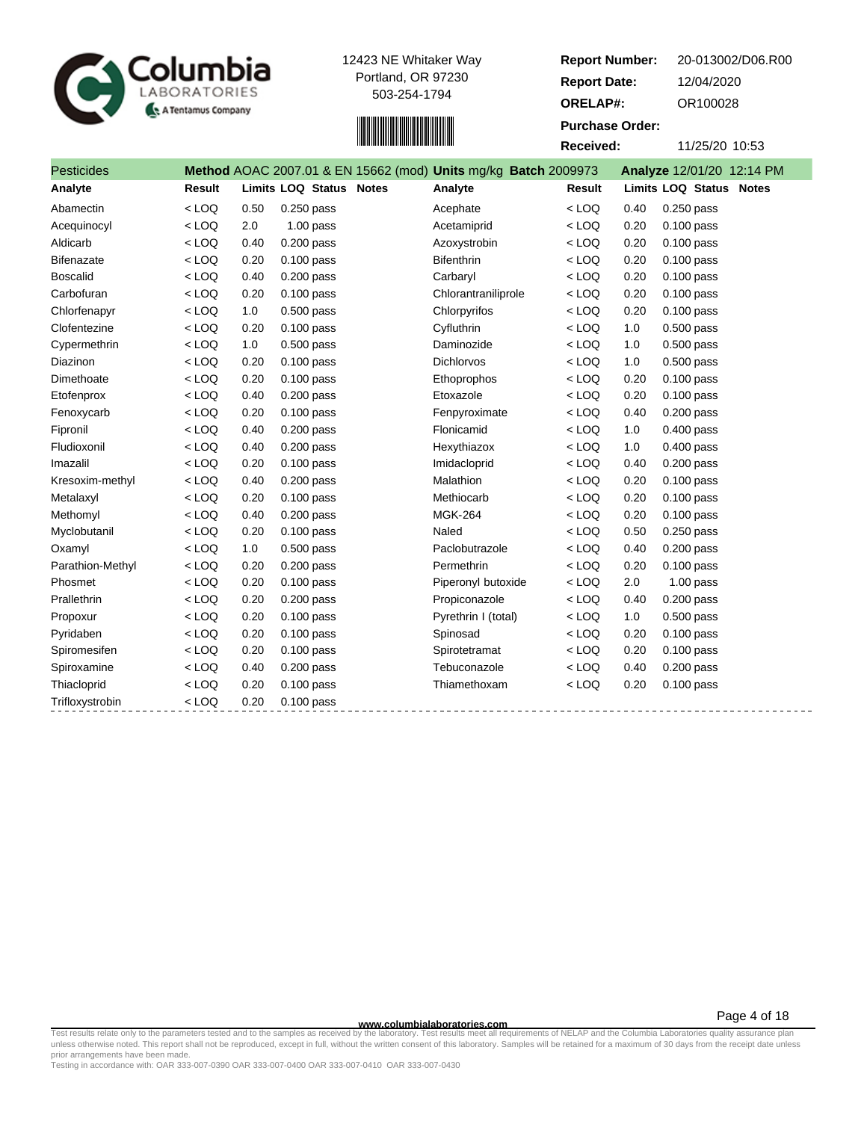



| <b>Report Number:</b>  | 20-013002/D06.R00             |
|------------------------|-------------------------------|
| <b>Report Date:</b>    | 12/04/2020                    |
| <b>ORELAP#:</b>        | OR100028                      |
| <b>Purchase Order:</b> |                               |
| Received:              | 11/25/20 10:53                |
| محممہ                  | Analyze $12/01/20$ $12.11$ DM |

| <b>Pesticides</b> |         |      |                         | Method AOAC 2007.01 & EN 15662 (mod) Units mg/kg Batch 2009973 |         |      | Analyze 12/01/20 12:14 PM |
|-------------------|---------|------|-------------------------|----------------------------------------------------------------|---------|------|---------------------------|
| Analyte           | Result  |      | Limits LOQ Status Notes | Analyte                                                        | Result  |      | Limits LOQ Status Notes   |
| Abamectin         | $<$ LOQ | 0.50 | $0.250$ pass            | Acephate                                                       | $<$ LOQ | 0.40 | $0.250$ pass              |
| Acequinocyl       | $<$ LOQ | 2.0  | $1.00$ pass             | Acetamiprid                                                    | $<$ LOQ | 0.20 | $0.100$ pass              |
| Aldicarb          | $<$ LOQ | 0.40 | $0.200$ pass            | Azoxystrobin                                                   | $<$ LOQ | 0.20 | $0.100$ pass              |
| <b>Bifenazate</b> | $<$ LOQ | 0.20 | $0.100$ pass            | <b>Bifenthrin</b>                                              | $<$ LOQ | 0.20 | $0.100$ pass              |
| <b>Boscalid</b>   | $<$ LOQ | 0.40 | $0.200$ pass            | Carbaryl                                                       | $<$ LOQ | 0.20 | 0.100 pass                |
| Carbofuran        | $<$ LOQ | 0.20 | $0.100$ pass            | Chlorantraniliprole                                            | $<$ LOQ | 0.20 | $0.100$ pass              |
| Chlorfenapyr      | $<$ LOQ | 1.0  | 0.500 pass              | Chlorpyrifos                                                   | $<$ LOQ | 0.20 | $0.100$ pass              |
| Clofentezine      | $<$ LOQ | 0.20 | $0.100$ pass            | Cyfluthrin                                                     | $<$ LOQ | 1.0  | $0.500$ pass              |
| Cypermethrin      | $<$ LOQ | 1.0  | $0.500$ pass            | Daminozide                                                     | $<$ LOQ | 1.0  | $0.500$ pass              |
| Diazinon          | $<$ LOQ | 0.20 | $0.100$ pass            | <b>Dichlorvos</b>                                              | $<$ LOQ | 1.0  | $0.500$ pass              |
| Dimethoate        | $<$ LOQ | 0.20 | $0.100$ pass            | Ethoprophos                                                    | $<$ LOQ | 0.20 | $0.100$ pass              |
| Etofenprox        | $<$ LOQ | 0.40 | $0.200$ pass            | Etoxazole                                                      | $<$ LOQ | 0.20 | $0.100$ pass              |
| Fenoxycarb        | $<$ LOQ | 0.20 | $0.100$ pass            | Fenpyroximate                                                  | $<$ LOQ | 0.40 | $0.200$ pass              |
| Fipronil          | $<$ LOQ | 0.40 | 0.200 pass              | Flonicamid                                                     | $<$ LOQ | 1.0  | $0.400$ pass              |
| Fludioxonil       | $<$ LOQ | 0.40 | $0.200$ pass            | Hexythiazox                                                    | $<$ LOQ | 1.0  | 0.400 pass                |
| Imazalil          | $<$ LOQ | 0.20 | $0.100$ pass            | Imidacloprid                                                   | $<$ LOQ | 0.40 | $0.200$ pass              |
| Kresoxim-methyl   | $<$ LOQ | 0.40 | $0.200$ pass            | Malathion                                                      | $<$ LOQ | 0.20 | $0.100$ pass              |
| Metalaxyl         | $<$ LOQ | 0.20 | $0.100$ pass            | Methiocarb                                                     | $<$ LOQ | 0.20 | $0.100$ pass              |
| Methomyl          | $<$ LOQ | 0.40 | $0.200$ pass            | <b>MGK-264</b>                                                 | $<$ LOQ | 0.20 | $0.100$ pass              |
| Myclobutanil      | $<$ LOQ | 0.20 | $0.100$ pass            | Naled                                                          | $<$ LOQ | 0.50 | $0.250$ pass              |
| Oxamyl            | $<$ LOQ | 1.0  | $0.500$ pass            | Paclobutrazole                                                 | $<$ LOQ | 0.40 | $0.200$ pass              |
| Parathion-Methyl  | $<$ LOQ | 0.20 | $0.200$ pass            | Permethrin                                                     | $<$ LOQ | 0.20 | $0.100$ pass              |
| Phosmet           | $<$ LOQ | 0.20 | 0.100 pass              | Piperonyl butoxide                                             | $<$ LOQ | 2.0  | $1.00$ pass               |
| Prallethrin       | $<$ LOQ | 0.20 | $0.200$ pass            | Propiconazole                                                  | $<$ LOQ | 0.40 | $0.200$ pass              |
| Propoxur          | $<$ LOQ | 0.20 | $0.100$ pass            | Pyrethrin I (total)                                            | $<$ LOQ | 1.0  | $0.500$ pass              |
| Pyridaben         | $<$ LOQ | 0.20 | $0.100$ pass            | Spinosad                                                       | $<$ LOQ | 0.20 | $0.100$ pass              |
| Spiromesifen      | $<$ LOQ | 0.20 | $0.100$ pass            | Spirotetramat                                                  | $<$ LOQ | 0.20 | $0.100$ pass              |
| Spiroxamine       | $<$ LOQ | 0.40 | $0.200$ pass            | Tebuconazole                                                   | $<$ LOQ | 0.40 | $0.200$ pass              |
| Thiacloprid       | $<$ LOQ | 0.20 | $0.100$ pass            | Thiamethoxam                                                   | $<$ LOQ | 0.20 | $0.100$ pass              |
| Trifloxystrobin   | $<$ LOQ | 0.20 | $0.100$ pass            |                                                                |         |      |                           |

**WWW.columbialaboratories.com**<br>unless otherwise noted. This report shall not be reproduced, except in full, without the written consent of this laboratory. Test results meet all requirements of NELAP and the Columbia Labor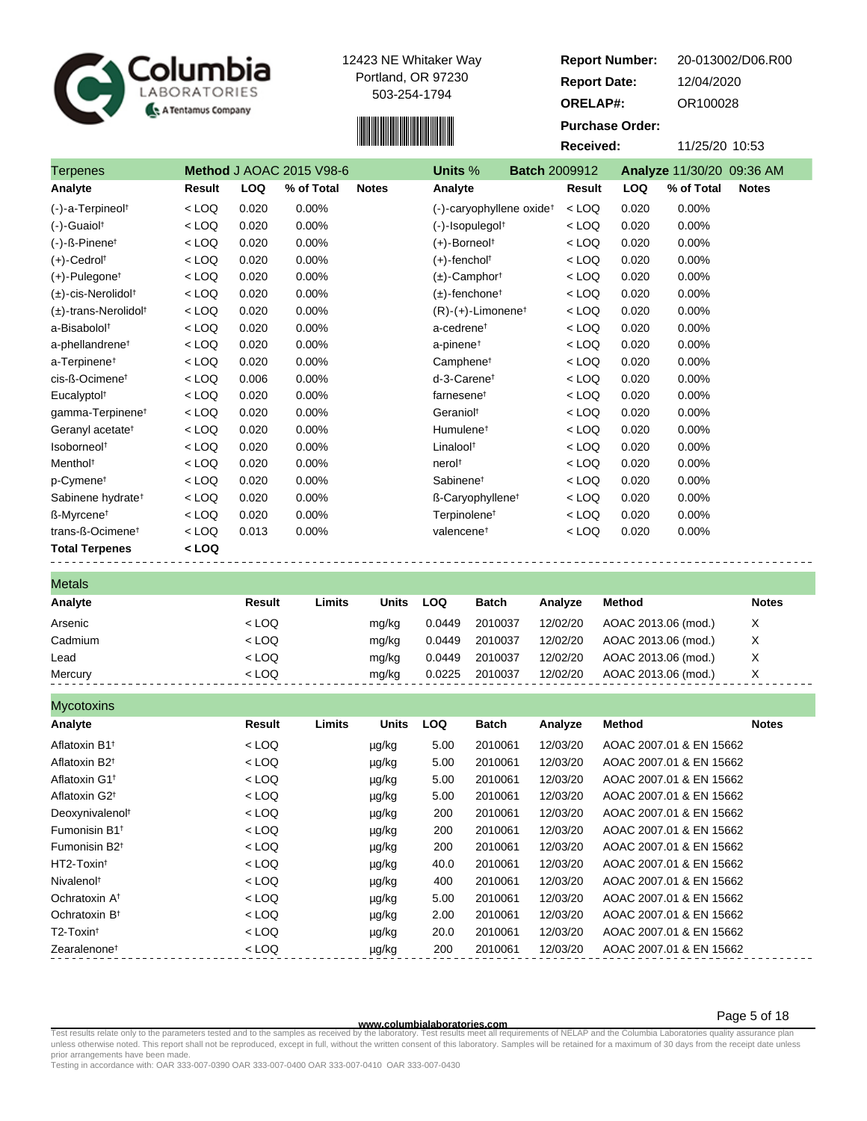



**Report Number: Report Date: ORELAP#:** 12/04/2020 OR100028 **Received:** 11/25/20 10:53 **Purchase Order:** 20-013002/D06.R00 Terpenes **Method** J AOAC 2015 V98-6 **Units** % **Batch** 2009912 **Analyze** 11/30/20 09:36 AM

| <b>I</b> UIPUITUU                     | $1100$ and $1100$ to $2010$ voor $0$ |            | UIIIW /V<br>PULVII LUUJU IL |              |                                      |         |            |            |              |
|---------------------------------------|--------------------------------------|------------|-----------------------------|--------------|--------------------------------------|---------|------------|------------|--------------|
| Analyte                               | Result                               | <b>LOQ</b> | % of Total                  | <b>Notes</b> | Analyte                              | Result  | <b>LOQ</b> | % of Total | <b>Notes</b> |
| (-)-a-Terpineol <sup>t</sup>          | $<$ LOQ                              | 0.020      | 0.00%                       |              | (-)-caryophyllene oxide <sup>†</sup> | $<$ LOQ | 0.020      | 0.00%      |              |
| $(-)$ -Guaiol <sup>†</sup>            | $<$ LOQ                              | 0.020      | 0.00%                       |              | $(-)$ -Isopulegol $†$                | $<$ LOQ | 0.020      | $0.00\%$   |              |
| $(-)$ -ß-Pinene <sup>†</sup>          | $<$ LOQ                              | 0.020      | 0.00%                       |              | (+)-Borneol <sup>†</sup>             | $<$ LOQ | 0.020      | 0.00%      |              |
| $(+)$ -Cedrol <sup>†</sup>            | $<$ LOQ                              | 0.020      | 0.00%                       |              | $(+)$ -fencholt                      | $<$ LOQ | 0.020      | 0.00%      |              |
| $(+)$ -Pulegone <sup>t</sup>          | $<$ LOQ                              | 0.020      | 0.00%                       |              | $(\pm)$ -Camphor <sup>†</sup>        | $<$ LOQ | 0.020      | 0.00%      |              |
| (±)-cis-Nerolidol†                    | $<$ LOQ                              | 0.020      | 0.00%                       |              | $(\pm)$ -fenchone <sup>†</sup>       | $<$ LOQ | 0.020      | 0.00%      |              |
| $(\pm)$ -trans-Nerolidol <sup>†</sup> | $<$ LOQ                              | 0.020      | 0.00%                       |              | $(R)-(+)$ -Limonene <sup>†</sup>     | $<$ LOQ | 0.020      | 0.00%      |              |
| a-Bisabolol <sup>+</sup>              | $<$ LOQ                              | 0.020      | 0.00%                       |              | a-cedrene <sup>t</sup>               | $<$ LOQ | 0.020      | 0.00%      |              |
| a-phellandrene <sup>t</sup>           | $<$ LOQ                              | 0.020      | 0.00%                       |              | a-pinene <sup>+</sup>                | $<$ LOQ | 0.020      | 0.00%      |              |
| a-Terpinene <sup>†</sup>              | $<$ LOQ                              | 0.020      | 0.00%                       |              | Camphene <sup>t</sup>                | $<$ LOQ | 0.020      | 0.00%      |              |
| cis-ß-Ocimene <sup>t</sup>            | $<$ LOQ                              | 0.006      | 0.00%                       |              | d-3-Carenet                          | $<$ LOQ | 0.020      | 0.00%      |              |
| Eucalyptol <sup>t</sup>               | $<$ LOQ                              | 0.020      | 0.00%                       |              | farnesene <sup>t</sup>               | $<$ LOQ | 0.020      | 0.00%      |              |
| gamma-Terpinene <sup>t</sup>          | $<$ LOQ                              | 0.020      | 0.00%                       |              | Geraniol <sup>t</sup>                | $<$ LOQ | 0.020      | 0.00%      |              |
| Geranyl acetate <sup>t</sup>          | $<$ LOQ                              | 0.020      | 0.00%                       |              | Humulene <sup>†</sup>                | $<$ LOQ | 0.020      | 0.00%      |              |
| Isoborneol <sup>t</sup>               | $<$ LOQ                              | 0.020      | 0.00%                       |              | Linalool <sup>t</sup>                | $<$ LOQ | 0.020      | 0.00%      |              |
| Menthol <sup>t</sup>                  | $<$ LOQ                              | 0.020      | 0.00%                       |              | nerol <sup>+</sup>                   | $<$ LOQ | 0.020      | 0.00%      |              |
| p-Cymene <sup>t</sup>                 | $<$ LOQ                              | 0.020      | 0.00%                       |              | Sabinene <sup>t</sup>                | $<$ LOQ | 0.020      | 0.00%      |              |
| Sabinene hydrate <sup>†</sup>         | $<$ LOQ                              | 0.020      | 0.00%                       |              | ß-Caryophyllene <sup>†</sup>         | $<$ LOQ | 0.020      | 0.00%      |              |
| ß-Myrcene <sup>t</sup>                | $<$ LOQ                              | 0.020      | 0.00%                       |              | Terpinolene <sup>†</sup>             | $<$ LOQ | 0.020      | 0.00%      |              |
| trans-ß-Ocimene <sup>t</sup>          | $<$ LOQ                              | 0.013      | 0.00%                       |              | valencene <sup>†</sup>               | $<$ LOQ | 0.020      | 0.00%      |              |
| <b>Total Terpenes</b>                 | $<$ LOQ                              |            |                             |              |                                      |         |            |            |              |

| <b>Metals</b> |         |        |       |        |              |          |                     |              |
|---------------|---------|--------|-------|--------|--------------|----------|---------------------|--------------|
| Analyte       | Result  | Limits | Units | LOQ    | <b>Batch</b> | Analvze  | Method              | <b>Notes</b> |
| Arsenic       | $<$ LOQ |        | mg/kg | 0.0449 | 2010037      | 12/02/20 | AOAC 2013.06 (mod.) | X            |
| Cadmium       | $<$ LOQ |        | mg/kg | 0.0449 | 2010037      | 12/02/20 | AOAC 2013.06 (mod.) | X            |
| Lead          | $<$ LOQ |        | mg/kg | 0.0449 | 2010037      | 12/02/20 | AOAC 2013.06 (mod.) | X            |
| Mercury       | $<$ LOQ |        | ma/ka | 0.0225 | 2010037      | 12/02/20 | AOAC 2013.06 (mod.) |              |

| Limits<br><b>Units</b><br><b>Method</b>                                                                           |  |
|-------------------------------------------------------------------------------------------------------------------|--|
| Analyte<br>Result<br>LOQ<br>Batch<br><b>Notes</b><br>Analyze                                                      |  |
| $<$ LOQ<br>2010061<br>12/03/20<br>AOAC 2007.01 & EN 15662<br>Aflatoxin B1 <sup>+</sup><br>5.00<br>µg/kg           |  |
| $<$ LOQ<br>2010061<br>12/03/20<br>Aflatoxin B2 <sup>t</sup><br>5.00<br>AOAC 2007.01 & EN 15662<br>µg/kg           |  |
| $<$ LOQ<br>12/03/20<br>Aflatoxin G1 <sup>t</sup><br>2010061<br>AOAC 2007.01 & EN 15662<br>5.00<br>µg/kg           |  |
| 12/03/20<br>$<$ LOQ<br>Aflatoxin G2 <sup>+</sup><br>2010061<br>AOAC 2007.01 & EN 15662<br>5.00<br>µg/kg           |  |
| $<$ LOQ<br>12/03/20<br>Deoxynivalenol <sup>t</sup><br>200<br>2010061<br>AOAC 2007.01 & EN 15662<br>µg/kg          |  |
| $<$ LOQ<br>200<br>2010061<br>12/03/20<br>AOAC 2007.01 & EN 15662<br>Fumonisin B1 <sup>+</sup><br>µg/kg            |  |
| $<$ LOQ<br>2010061<br>12/03/20<br>Fumonisin B <sub>2<sup>t</sup></sub><br>200<br>AOAC 2007.01 & EN 15662<br>µg/kg |  |
| $<$ LOQ<br>HT2-Toxin <sup>t</sup><br>2010061<br>12/03/20<br>AOAC 2007.01 & EN 15662<br>40.0<br>µg/kg              |  |
| 12/03/20<br>$<$ LOQ<br>2010061<br>Nivalenol <sup>t</sup><br>400<br>AOAC 2007.01 & EN 15662<br>µg/kg               |  |
| $<$ LOQ<br>12/03/20<br>AOAC 2007.01 & EN 15662<br>Ochratoxin A <sup>t</sup><br>2010061<br>5.00<br>µg/kg           |  |
| 12/03/20<br>$<$ LOQ<br>2010061<br>Ochratoxin B <sup>t</sup><br>2.00<br>AOAC 2007.01 & EN 15662<br>µg/kg           |  |
| T2-Toxin <sup>t</sup><br>$<$ LOQ<br>2010061<br>12/03/20<br>AOAC 2007.01 & EN 15662<br>20.0<br>µg/kg               |  |
| $<$ LOQ<br>200<br>2010061<br>12/03/20<br>AOAC 2007.01 & EN 15662<br>Zearalenone <sup>t</sup><br>µg/kg             |  |

**www.columbialaboratories.com**

Page 5 of 18

Test results relate only to the parameters tested and to the samples as received by the laboratory. Test results meet all requirements of NELAP and the Columbia Laboratories quality assurance plan<br>unless otherwise noted. T prior arrangements have been made.